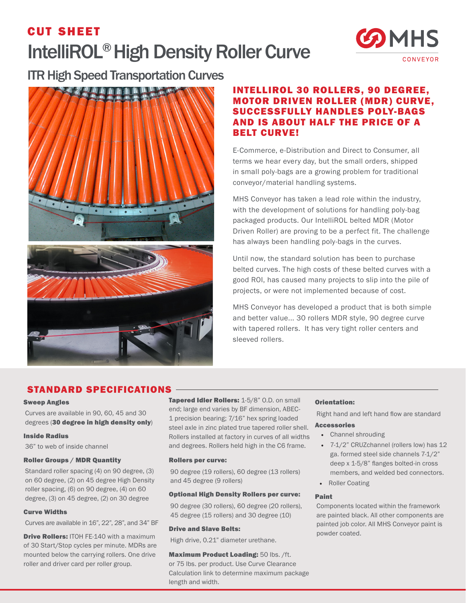# cut sheet IntelliROL® High Density Roller Curve



ITR High Speed Transportation Curves



# INTELLIROL 30 ROLLERS, 90 DEGREE, MOTOR DRIVEN ROLLER (MDR) CURVE, SUCCESSFULLY HANDLES POLY-BAGS AND IS ABOUT HALF THE PRICE OF A BELT CURVE!

E-Commerce, e-Distribution and Direct to Consumer, all terms we hear every day, but the small orders, shipped in small poly-bags are a growing problem for traditional conveyor/material handling systems.

MHS Conveyor has taken a lead role within the industry, with the development of solutions for handling poly-bag packaged products. Our IntelliROL belted MDR (Motor Driven Roller) are proving to be a perfect fit. The challenge has always been handling poly-bags in the curves.

Until now, the standard solution has been to purchase belted curves. The high costs of these belted curves with a good ROI, has caused many projects to slip into the pile of projects, or were not implemented because of cost.

MHS Conveyor has developed a product that is both simple and better value... 30 rollers MDR style, 90 degree curve with tapered rollers. It has very tight roller centers and sleeved rollers.

# STANDARD SPECIFICATIONS

## Sweep Angles

Curves are available in 90, 60, 45 and 30 degrees (30 degree in high density only)

## Inside Radius

36" to web of inside channel

# Roller Groups / MDR Quantity

Standard roller spacing (4) on 90 degree, (3) on 60 degree, (2) on 45 degree High Density roller spacing, (6) on 90 degree, (4) on 60 degree, (3) on 45 degree, (2) on 30 degree

# Curve Widths

Curves are available in 16", 22", 28", and 34" BF

**Drive Rollers: ITOH FE-140 with a maximum** of 30 Start/Stop cycles per minute. MDRs are mounted below the carrying rollers. One drive roller and driver card per roller group.

Tapered Idler Rollers: 1-5/8" O.D. on small end; large end varies by BF dimension, ABEC-1 precision bearing; 7/16" hex spring loaded steel axle in zinc plated true tapered roller shell. Rollers installed at factory in curves of all widths and degrees. Rollers held high in the C6 frame.

#### Rollers per curve:

90 degree (19 rollers), 60 degree (13 rollers) and 45 degree (9 rollers)

#### Optional High Density Rollers per curve:

90 degree (30 rollers), 60 degree (20 rollers), 45 degree (15 rollers) and 30 degree (10)

#### Drive and Slave Belts:

High drive, 0.21" diameter urethane.

#### Maximum Product Loading: 50 lbs. /ft.

or 75 lbs. per product. Use Curve Clearance Calculation link to determine maximum package length and width.

# Orientation:

Right hand and left hand flow are standard

## Accessories

- Channel shrouding
- 7-1/2" CRUZchannel (rollers low) has 12 ga. formed steel side channels 7-1/2" deep x 1-5/8" flanges bolted-in cross members, and welded bed connectors.
- Roller Coating

## Paint

Components located within the framework are painted black. All other components are painted job color. All MHS Conveyor paint is powder coated.